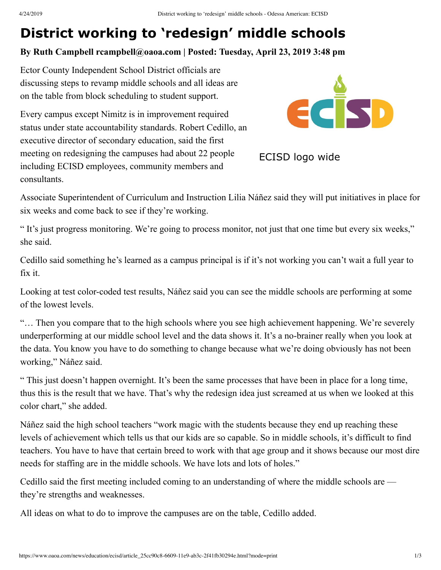## **District working to 'redesign' middle schools**

## **By Ruth Campbell rcampbell@oaoa.com | Posted: Tuesday, April 23, 2019 3:48 pm**

Ector County Independent School District officials are discussing steps to revamp middle schools and all ideas are on the table from block scheduling to student support.

Every campus except Nimitz is in improvement required status under state accountability standards. Robert Cedillo, an executive director of secondary education, said the first meeting on redesigning the campuses had about 22 people including ECISD employees, community members and consultants.



ECISD logo wide

Associate Superintendent of Curriculum and Instruction Lilia Náñez said they will put initiatives in place for six weeks and come back to see if they're working.

" It's just progress monitoring. We're going to process monitor, not just that one time but every six weeks," she said.

Cedillo said something he's learned as a campus principal is if it's not working you can't wait a full year to fix it.

Looking at test color-coded test results, Náñez said you can see the middle schools are performing at some of the lowest levels.

"… Then you compare that to the high schools where you see high achievement happening. We're severely underperforming at our middle school level and the data shows it. It's a no-brainer really when you look at the data. You know you have to do something to change because what we're doing obviously has not been working," Náñez said.

" This just doesn't happen overnight. It's been the same processes that have been in place for a long time, thus this is the result that we have. That's why the redesign idea just screamed at us when we looked at this color chart," she added.

Náñez said the high school teachers "work magic with the students because they end up reaching these levels of achievement which tells us that our kids are so capable. So in middle schools, it's difficult to find teachers. You have to have that certain breed to work with that age group and it shows because our most dire needs for staffing are in the middle schools. We have lots and lots of holes."

Cedillo said the first meeting included coming to an understanding of where the middle schools are they're strengths and weaknesses.

All ideas on what to do to improve the campuses are on the table, Cedillo added.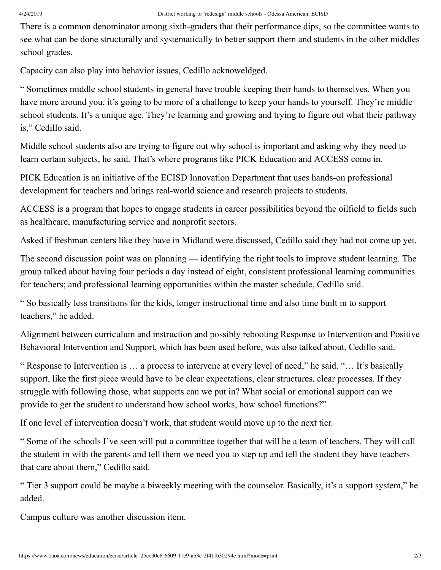There is a common denominator among sixth-graders that their performance dips, so the committee wants to see what can be done structurally and systematically to better support them and students in the other middles school grades.

Capacity can also play into behavior issues, Cedillo acknoweldged.

" Sometimes middle school students in general have trouble keeping their hands to themselves. When you have more around you, it's going to be more of a challenge to keep your hands to yourself. They're middle school students. It's a unique age. They're learning and growing and trying to figure out what their pathway is," Cedillo said.

Middle school students also are trying to figure out why school is important and asking why they need to learn certain subjects, he said. That's where programs like PICK Education and ACCESS come in.

PICK Education is an initiative of the ECISD Innovation Department that uses hands-on professional development for teachers and brings real-world science and research projects to students.

ACCESS is a program that hopes to engage students in career possibilities beyond the oilfield to fields such as healthcare, manufacturing service and nonprofit sectors.

Asked if freshman centers like they have in Midland were discussed, Cedillo said they had not come up yet.

The second discussion point was on planning — identifying the right tools to improve student learning. The group talked about having four periods a day instead of eight, consistent professional learning communities for teachers; and professional learning opportunities within the master schedule, Cedillo said.

" So basically less transitions for the kids, longer instructional time and also time built in to support teachers," he added.

Alignment between curriculum and instruction and possibly rebooting Response to Intervention and Positive Behavioral Intervention and Support, which has been used before, was also talked about, Cedillo said.

" Response to Intervention is … a process to intervene at every level of need," he said. "… It's basically support, like the first piece would have to be clear expectations, clear structures, clear processes. If they struggle with following those, what supports can we put in? What social or emotional support can we provide to get the student to understand how school works, how school functions?"

If one level of intervention doesn't work, that student would move up to the next tier.

" Some of the schools I've seen will put a committee together that will be a team of teachers. They will call the student in with the parents and tell them we need you to step up and tell the student they have teachers that care about them," Cedillo said.

" Tier 3 support could be maybe a biweekly meeting with the counselor. Basically, it's a support system," he added.

Campus culture was another discussion item.